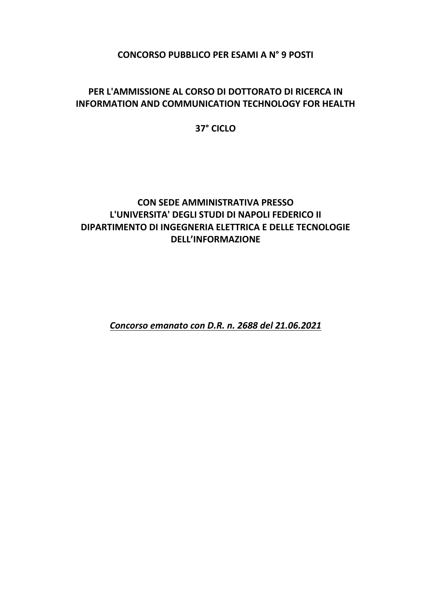**CONCORSO PUBBLICO PER ESAMI A N° 9 POSTI**

## **PER L'AMMISSIONE AL CORSO DI DOTTORATO DI RICERCA IN INFORMATION AND COMMUNICATION TECHNOLOGY FOR HEALTH**

## **37° CICLO**

## **CON SEDE AMMINISTRATIVA PRESSO L'UNIVERSITA' DEGLI STUDI DI NAPOLI FEDERICO II DIPARTIMENTO DI INGEGNERIA ELETTRICA E DELLE TECNOLOGIE DELL'INFORMAZIONE**

*Concorso emanato con D.R. n. 2688 del 21.06.2021*